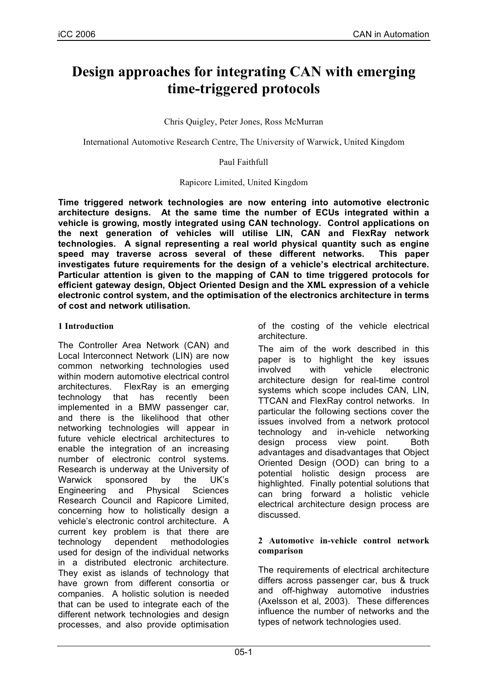# **Design approaches for integrating CAN with emerging time-triggered protocols**

Chris Quigley, Peter Jones, Ross McMurran

International Automotive Research Centre, The University of Warwick, United Kingdom

Paul Faithfull

## Rapicore Limited, United Kingdom

**Time triggered network technologies are now entering into automotive electronic architecture designs. At the same time the number of ECUs integrated within a vehicle is growing, mostly integrated using CAN technology. Control applications on the next generation of vehicles will utilise LIN, CAN and FlexRay network technologies. A signal representing a real world physical quantity such as engine speed may traverse across several of these different networks. This paper investigates future requirements for the design of a vehicle's electrical architecture. Particular attention is given to the mapping of CAN to time triggered protocols for efficient gateway design, Object Oriented Design and the XML expression of a vehicle electronic control system, and the optimisation of the electronics architecture in terms of cost and network utilisation.**

# **1 Introduction**

The Controller Area Network (CAN) and Local Interconnect Network (LIN) are now common networking technologies used within modern automotive electrical control architectures. FlexRay is an emerging technology that has recently been implemented in a BMW passenger car, and there is the likelihood that other networking technologies will appear in future vehicle electrical architectures to enable the integration of an increasing number of electronic control systems. Research is underway at the University of Warwick sponsored by the UK's Engineering and Physical Sciences Research Council and Rapicore Limited, concerning how to holistically design a vehicle's electronic control architecture. A current key problem is that there are technology dependent methodologies used for design of the individual networks in a distributed electronic architecture. They exist as islands of technology that have grown from different consortia or companies. A holistic solution is needed that can be used to integrate each of the different network technologies and design processes, and also provide optimisation

of the costing of the vehicle electrical architecture.

The aim of the work described in this paper is to highlight the key issues involved with vehicle electronic architecture design for real-time control systems which scope includes CAN, LIN, TTCAN and FlexRay control networks. In particular the following sections cover the issues involved from a network protocol technology and in-vehicle networking design process view point. Both advantages and disadvantages that Object Oriented Design (OOD) can bring to a potential holistic design process are highlighted. Finally potential solutions that can bring forward a holistic vehicle electrical architecture design process are discussed.

## **2 Automotive in-vehicle control network comparison**

The requirements of electrical architecture differs across passenger car, bus & truck and off-highway automotive industries (Axelsson et al, 2003). These differences influence the number of networks and the types of network technologies used.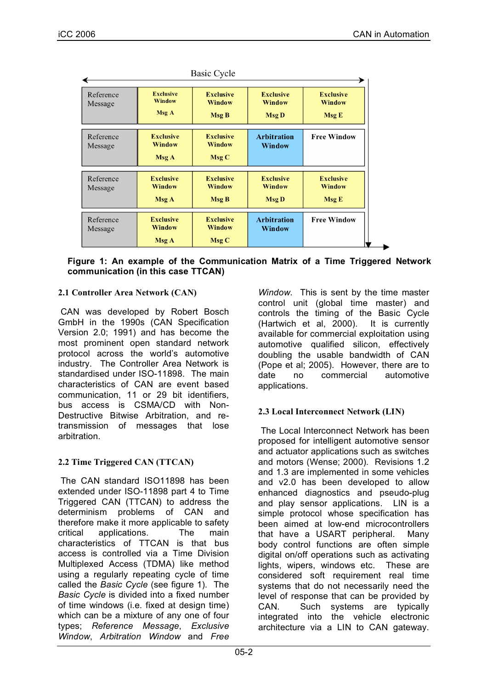|                      |                                            | Basic Cycle                                |                                                   |                                            |
|----------------------|--------------------------------------------|--------------------------------------------|---------------------------------------------------|--------------------------------------------|
| Reference<br>Message | <b>Exclusive</b><br>Window<br>Msg A        | <b>Exclusive</b><br>Window<br><b>Msg B</b> | <b>Exclusive</b><br><b>Window</b><br><b>Msg D</b> | <b>Exclusive</b><br><b>Window</b><br>Msg E |
| Reference<br>Message | <b>Exclusive</b><br><b>Window</b><br>Msg A | <b>Exclusive</b><br>Window<br>Msg C        | Arbitration<br>Window                             | <b>Free Window</b>                         |
| Reference<br>Message | <b>Exclusive</b><br><b>Window</b><br>Msg A | <b>Exclusive</b><br>Window<br><b>Msg B</b> | <b>Exclusive</b><br><b>Window</b><br><b>Msg D</b> | <b>Exclusive</b><br><b>Window</b><br>Msg E |
| Reference<br>Message | <b>Exclusive</b><br><b>Window</b><br>Msg A | <b>Exclusive</b><br><b>Window</b><br>Msg C | <b>Arbitration</b><br>Window                      | <b>Free Window</b>                         |

 $\mathbf{r}$   $\alpha$   $\alpha$ 

**Figure 1: An example of the Communication Matrix of a Time Triggered Network communication (in this case TTCAN)**

# **2.1 Controller Area Network (CAN)**

CAN was developed by Robert Bosch GmbH in the 1990s (CAN Specification Version 2.0; 1991) and has become the most prominent open standard network protocol across the world's automotive industry. The Controller Area Network is standardised under ISO-11898. The main characteristics of CAN are event based communication, 11 or 29 bit identifiers, bus access is CSMA/CD with Non-Destructive Bitwise Arbitration, and retransmission of messages that lose arbitration.

# **2.2 Time Triggered CAN (TTCAN)**

The CAN standard ISO11898 has been extended under ISO-11898 part 4 to Time Triggered CAN (TTCAN) to address the determinism problems of CAN and therefore make it more applicable to safety critical applications. The main characteristics of TTCAN is that bus access is controlled via a Time Division Multiplexed Access (TDMA) like method using a regularly repeating cycle of time called the *Basic Cycle* (see figure 1). The *Basic Cycle* is divided into a fixed number of time windows (i.e. fixed at design time) which can be a mixture of any one of four types; *Reference Message*, *Exclusive Window*, *Arbitration Window* and *Free*

*Window*. This is sent by the time master control unit (global time master) and controls the timing of the Basic Cycle (Hartwich et al, 2000). It is currently available for commercial exploitation using automotive qualified silicon, effectively doubling the usable bandwidth of CAN (Pope et al; 2005). However, there are to date no commercial automotive applications.

# **2.3 Local Interconnect Network (LIN)**

The Local Interconnect Network has been proposed for intelligent automotive sensor and actuator applications such as switches and motors (Wense; 2000). Revisions 1.2 and 1.3 are implemented in some vehicles and v2.0 has been developed to allow enhanced diagnostics and pseudo-plug and play sensor applications. LIN is a simple protocol whose specification has been aimed at low-end microcontrollers that have a USART peripheral. Many body control functions are often simple digital on/off operations such as activating lights, wipers, windows etc. These are considered soft requirement real time systems that do not necessarily need the level of response that can be provided by CAN. Such systems are typically integrated into the vehicle electronic architecture via a LIN to CAN gateway.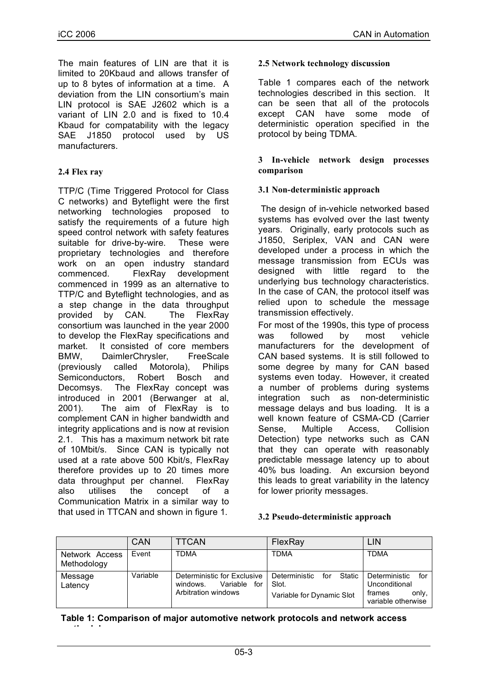The main features of LIN are that it is limited to 20Kbaud and allows transfer of up to 8 bytes of information at a time. A deviation from the LIN consortium's main LIN protocol is SAE J2602 which is a variant of LIN 2.0 and is fixed to 10.4 Kbaud for compatability with the legacy SAE J1850 protocol used by US manufacturers.

# **2.4 Flex ray**

**methodology**

TTP/C (Time Triggered Protocol for Class C networks) and Byteflight were the first networking technologies proposed to satisfy the requirements of a future high speed control network with safety features suitable for drive-by-wire. These were proprietary technologies and therefore work on an open industry standard commenced. FlexRay development commenced in 1999 as an alternative to TTP/C and Byteflight technologies, and as a step change in the data throughput provided by CAN. The FlexRay consortium was launched in the year 2000 to develop the FlexRay specifications and market. It consisted of core members BMW, DaimlerChrysler, FreeScale (previously called Motorola), Philips Semiconductors, Robert Bosch and Decomsys. The FlexRay concept was introduced in 2001 (Berwanger at al, 2001). The aim of FlexRay is to complement CAN in higher bandwidth and integrity applications and is now at revision 2.1. This has a maximum network bit rate of 10Mbit/s. Since CAN is typically not used at a rate above 500 Kbit/s, FlexRay therefore provides up to 20 times more data throughput per channel. FlexRay also utilises the concept of a Communication Matrix in a similar way to that used in TTCAN and shown in figure 1.

# **2.5 Network technology discussion**

Table 1 compares each of the network technologies described in this section. It can be seen that all of the protocols except CAN have some mode of deterministic operation specified in the protocol by being TDMA.

## **3 In-vehicle network design processes comparison**

# **3.1 Non-deterministic approach**

The design of in-vehicle networked based systems has evolved over the last twenty years. Originally, early protocols such as J1850, Seriplex, VAN and CAN were developed under a process in which the message transmission from ECUs was designed with little regard to the underlying bus technology characteristics. In the case of CAN, the protocol itself was relied upon to schedule the message transmission effectively.

For most of the 1990s, this type of process was followed by most vehicle manufacturers for the development of CAN based systems. It is still followed to some degree by many for CAN based systems even today. However, it created a number of problems during systems integration such as non-deterministic message delays and bus loading. It is a well known feature of CSMA-CD (Carrier Sense, Multiple Access, Collision Detection) type networks such as CAN that they can operate with reasonably predictable message latency up to about 40% bus loading. An excursion beyond this leads to great variability in the latency for lower priority messages.

#### **3.2 Pseudo-deterministic approach**

|                               | CAN      | <b>TTCAN</b>                                                                      | FlexRay                                                           | LIN                                                                            |
|-------------------------------|----------|-----------------------------------------------------------------------------------|-------------------------------------------------------------------|--------------------------------------------------------------------------------|
| Network Access<br>Methodology | Event    | <b>TDMA</b>                                                                       | <b>TDMA</b>                                                       | <b>TDMA</b>                                                                    |
| Message<br>Latency            | Variable | Deterministic for Exclusive<br>Variable<br>windows.<br>for<br>Arbitration windows | Static<br>Deterministic for<br>Slot.<br>Variable for Dynamic Slot | for<br>Deterministic<br>Unconditional<br>only.<br>frames<br>variable otherwise |

**Table 1: Comparison of major automotive network protocols and network access**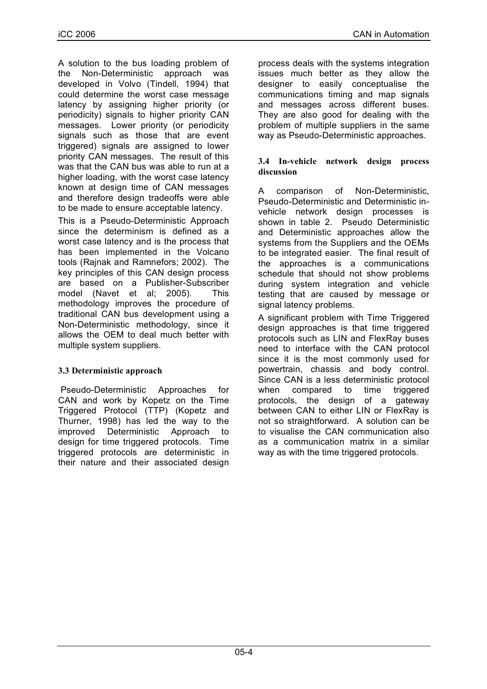A solution to the bus loading problem of the Non-Deterministic approach was developed in Volvo (Tindell, 1994) that could determine the worst case message latency by assigning higher priority (or periodicity) signals to higher priority CAN messages. Lower priority (or periodicity signals such as those that are event triggered) signals are assigned to lower priority CAN messages. The result of this was that the CAN bus was able to run at a higher loading, with the worst case latency known at design time of CAN messages and therefore design tradeoffs were able to be made to ensure acceptable latency.

This is a Pseudo-Deterministic Approach since the determinism is defined as a worst case latency and is the process that has been implemented in the Volcano tools (Rajnak and Ramnefors; 2002). The key principles of this CAN design process are based on a Publisher-Subscriber model (Navet et al; 2005). This methodology improves the procedure of traditional CAN bus development using a Non-Deterministic methodology, since it allows the OEM to deal much better with multiple system suppliers.

# **3.3 Deterministic approach**

Pseudo-Deterministic Approaches for CAN and work by Kopetz on the Time Triggered Protocol (TTP) (Kopetz and Thurner, 1998) has led the way to the improved Deterministic Approach to design for time triggered protocols. Time triggered protocols are deterministic in their nature and their associated design

process deals with the systems integration issues much better as they allow the designer to easily conceptualise the communications timing and map signals and messages across different buses. They are also good for dealing with the problem of multiple suppliers in the same way as Pseudo-Deterministic approaches.

# **3.4 In-vehicle network design process discussion**

A comparison of Non-Deterministic, Pseudo-Deterministic and Deterministic invehicle network design processes is shown in table 2. Pseudo Deterministic and Deterministic approaches allow the systems from the Suppliers and the OEMs to be integrated easier. The final result of the approaches is a communications schedule that should not show problems during system integration and vehicle testing that are caused by message or signal latency problems.

A significant problem with Time Triggered design approaches is that time triggered protocols such as LIN and FlexRay buses need to interface with the CAN protocol since it is the most commonly used for powertrain, chassis and body control. Since CAN is a less deterministic protocol when compared to time triggered protocols, the design of a gateway between CAN to either LIN or FlexRay is not so straightforward. A solution can be to visualise the CAN communication also as a communication matrix in a similar way as with the time triggered protocols.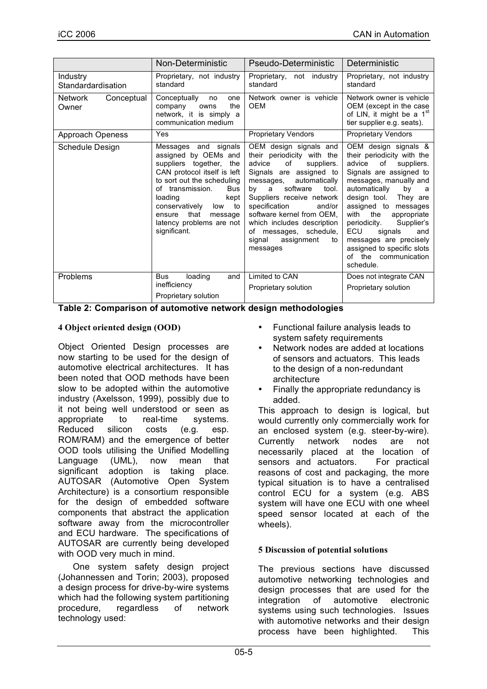|                                       | Non-Deterministic                                                                                                                                                                                                                                                                             | Pseudo-Deterministic                                                                                                                                                                                                                                                                                                                                               | Deterministic                                                                                                                                                                                                                                                                                                                                                                                        |
|---------------------------------------|-----------------------------------------------------------------------------------------------------------------------------------------------------------------------------------------------------------------------------------------------------------------------------------------------|--------------------------------------------------------------------------------------------------------------------------------------------------------------------------------------------------------------------------------------------------------------------------------------------------------------------------------------------------------------------|------------------------------------------------------------------------------------------------------------------------------------------------------------------------------------------------------------------------------------------------------------------------------------------------------------------------------------------------------------------------------------------------------|
| Industry<br>Standardardisation        | Proprietary, not industry<br>standard                                                                                                                                                                                                                                                         | Proprietary, not industry<br>standard                                                                                                                                                                                                                                                                                                                              | Proprietary, not industry<br>standard                                                                                                                                                                                                                                                                                                                                                                |
| <b>Network</b><br>Conceptual<br>Owner | Conceptually<br>one<br>no<br>the<br>company<br>owns<br>network, it is simply a<br>communication medium                                                                                                                                                                                        | Network owner is vehicle<br><b>OEM</b>                                                                                                                                                                                                                                                                                                                             | Network owner is vehicle<br>OEM (except in the case<br>of LIN, it might be a 1 <sup>st</sup><br>tier supplier e.g. seats).                                                                                                                                                                                                                                                                           |
| <b>Approach Openess</b>               | Yes                                                                                                                                                                                                                                                                                           | <b>Proprietary Vendors</b>                                                                                                                                                                                                                                                                                                                                         | <b>Proprietary Vendors</b>                                                                                                                                                                                                                                                                                                                                                                           |
| Schedule Design                       | Messages and signals<br>assigned by OEMs and<br>suppliers together,<br>the<br>CAN protocol itself is left<br>to sort out the scheduling<br>of transmission.<br>Bus<br>loading<br>kept<br>conservatively<br>to<br>low<br>that<br>message<br>ensure<br>latency problems are not<br>significant. | OEM design signals and<br>their periodicity with the<br>advice<br>of<br>suppliers.<br>Signals are assigned to<br>automatically<br>messages,<br>software<br>tool.<br>by<br>a<br>Suppliers receive network<br>specification<br>and/or<br>software kernel from OEM,<br>which includes description<br>of messages, schedule,<br>assignment<br>signal<br>to<br>messages | OEM design signals &<br>their periodicity with the<br>advice<br>of<br>suppliers.<br>Signals are assigned to<br>messages, manually and<br>automatically<br>bv<br>a<br>design tool. They are<br>assigned to messages<br>the<br>with<br>appropriate<br>Supplier's<br>periodicity.<br>ECU<br>signals<br>and<br>messages are precisely<br>assigned to specific slots<br>of the communication<br>schedule. |
| Problems                              | loading<br>Bus<br>and<br>inefficiency                                                                                                                                                                                                                                                         | Limited to CAN                                                                                                                                                                                                                                                                                                                                                     | Does not integrate CAN                                                                                                                                                                                                                                                                                                                                                                               |
|                                       | Proprietary solution                                                                                                                                                                                                                                                                          | Proprietary solution                                                                                                                                                                                                                                                                                                                                               | Proprietary solution                                                                                                                                                                                                                                                                                                                                                                                 |

**Table 2: Comparison of automotive network design methodologies**

# **4 Object oriented design (OOD)**

Object Oriented Design processes are now starting to be used for the design of automotive electrical architectures. It has been noted that OOD methods have been slow to be adopted within the automotive industry (Axelsson, 1999), possibly due to it not being well understood or seen as appropriate to real-time systems. Reduced silicon costs (e.g. esp. ROM/RAM) and the emergence of better OOD tools utilising the Unified Modelling Language (UML), now mean that significant adoption is taking place. AUTOSAR (Automotive Open System Architecture) is a consortium responsible for the design of embedded software components that abstract the application software away from the microcontroller and ECU hardware. The specifications of AUTOSAR are currently being developed with OOD very much in mind.

One system safety design project (Johannessen and Torin; 2003), proposed a design process for drive-by-wire systems which had the following system partitioning procedure, regardless of network technology used:

- Functional failure analysis leads to system safety requirements
- Network nodes are added at locations of sensors and actuators. This leads to the design of a non-redundant architecture
- Finally the appropriate redundancy is added.

This approach to design is logical, but would currently only commercially work for an enclosed system (e.g. steer-by-wire). Currently network nodes are not necessarily placed at the location of sensors and actuators. For practical reasons of cost and packaging, the more typical situation is to have a centralised control ECU for a system (e.g. ABS system will have one ECU with one wheel speed sensor located at each of the wheels).

# **5 Discussion of potential solutions**

The previous sections have discussed automotive networking technologies and design processes that are used for the integration of automotive electronic systems using such technologies. Issues with automotive networks and their design process have been highlighted. This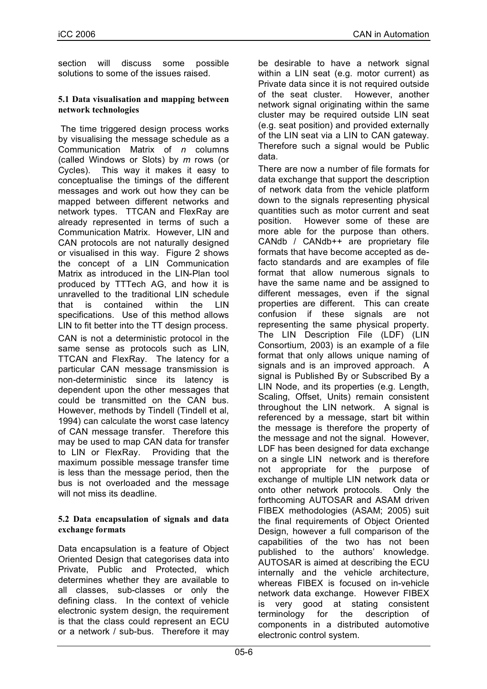section will discuss some possible solutions to some of the issues raised.

## **5.1 Data visualisation and mapping between network technologies**

The time triggered design process works by visualising the message schedule as a Communication Matrix of *n* columns (called Windows or Slots) by *m* rows (or Cycles). This way it makes it easy to conceptualise the timings of the different messages and work out how they can be mapped between different networks and network types. TTCAN and FlexRay are already represented in terms of such a Communication Matrix. However, LIN and CAN protocols are not naturally designed or visualised in this way. Figure 2 shows the concept of a LIN Communication Matrix as introduced in the LIN-Plan tool produced by TTTech AG, and how it is unravelled to the traditional LIN schedule that is contained within the LIN specifications. Use of this method allows LIN to fit better into the TT design process. CAN is not a deterministic protocol in the same sense as protocols such as LIN, TTCAN and FlexRay. The latency for a particular CAN message transmission is non-deterministic since its latency is dependent upon the other messages that could be transmitted on the CAN bus. However, methods by Tindell (Tindell et al, 1994) can calculate the worst case latency of CAN message transfer. Therefore this may be used to map CAN data for transfer to LIN or FlexRay. Providing that the maximum possible message transfer time is less than the message period, then the bus is not overloaded and the message will not miss its deadline.

# **5.2 Data encapsulation of signals and data exchange formats**

Data encapsulation is a feature of Object Oriented Design that categorises data into Private, Public and Protected, which determines whether they are available to all classes, sub-classes or only the defining class. In the context of vehicle electronic system design, the requirement is that the class could represent an ECU or a network / sub-bus. Therefore it may

be desirable to have a network signal within a LIN seat (e.g. motor current) as Private data since it is not required outside of the seat cluster. However, another network signal originating within the same cluster may be required outside LIN seat (e.g. seat position) and provided externally of the LIN seat via a LIN to CAN gateway. Therefore such a signal would be Public data.

There are now a number of file formats for data exchange that support the description of network data from the vehicle platform down to the signals representing physical quantities such as motor current and seat position. However some of these are more able for the purpose than others. CANdb / CANdb++ are proprietary file formats that have become accepted as defacto standards and are examples of file format that allow numerous signals to have the same name and be assigned to different messages, even if the signal properties are different. This can create confusion if these signals are not representing the same physical property. The LIN Description File (LDF) (LIN Consortium, 2003) is an example of a file format that only allows unique naming of signals and is an improved approach. A signal is Published By or Subscribed By a LIN Node, and its properties (e.g. Length, Scaling, Offset, Units) remain consistent throughout the LIN network. A signal is referenced by a message, start bit within the message is therefore the property of the message and not the signal. However, LDF has been designed for data exchange on a single LIN network and is therefore not appropriate for the purpose of exchange of multiple LIN network data or onto other network protocols. Only the forthcoming AUTOSAR and ASAM driven FIBEX methodologies (ASAM; 2005) suit the final requirements of Object Oriented Design, however a full comparison of the capabilities of the two has not been published to the authors' knowledge. AUTOSAR is aimed at describing the ECU internally and the vehicle architecture, whereas FIBEX is focused on in-vehicle network data exchange. However FIBEX is very good at stating consistent terminology for the description of components in a distributed automotive electronic control system.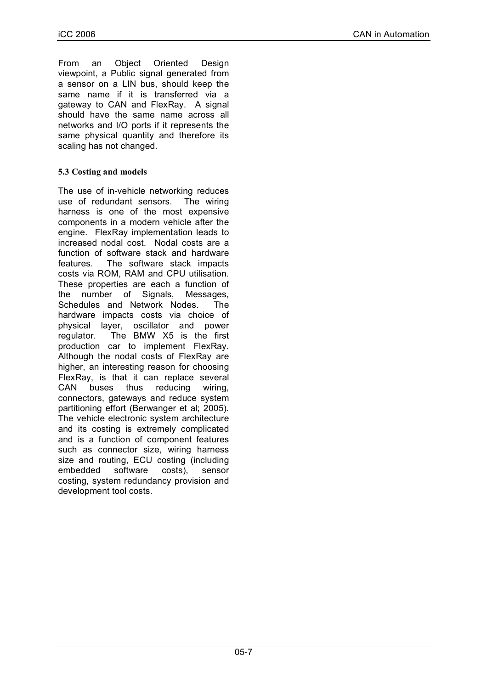From an Object Oriented Design viewpoint, a Public signal generated from a sensor on a LIN bus, should keep the same name if it is transferred via a gateway to CAN and FlexRay. A signal should have the same name across all networks and I/O ports if it represents the same physical quantity and therefore its scaling has not changed.

# **5.3 Costing and models**

The use of in-vehicle networking reduces use of redundant sensors. The wiring harness is one of the most expensive components in a modern vehicle after the engine. FlexRay implementation leads to increased nodal cost. Nodal costs are a function of software stack and hardware features. The software stack impacts costs via ROM, RAM and CPU utilisation. These properties are each a function of the number of Signals, Messages, Schedules and Network Nodes. The hardware impacts costs via choice of physical layer, oscillator and power regulator. The BMW X5 is the first production car to implement FlexRay. Although the nodal costs of FlexRay are higher, an interesting reason for choosing FlexRay, is that it can replace several CAN buses thus reducing wiring, connectors, gateways and reduce system partitioning effort (Berwanger et al; 2005). The vehicle electronic system architecture and its costing is extremely complicated and is a function of component features such as connector size, wiring harness size and routing, ECU costing (including embedded software costs), sensor costing, system redundancy provision and development tool costs.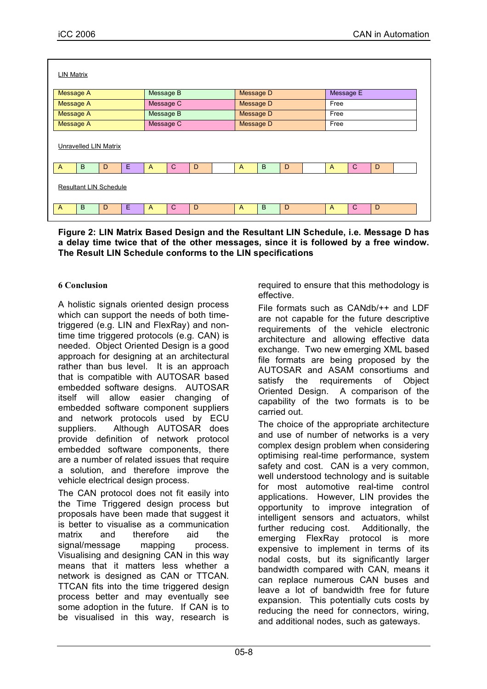| <b>LIN Matrix</b>             |                        |                          |                                     |  |  |
|-------------------------------|------------------------|--------------------------|-------------------------------------|--|--|
| Message A                     | Message B              | Message D                | Message E                           |  |  |
| Message A                     | Message C              | Message D                | Free                                |  |  |
| Message A                     | Message B              | Message D                | Free                                |  |  |
| Message A                     | Message C<br>Message D |                          | Free                                |  |  |
| Unravelled LIN Matrix         |                        |                          |                                     |  |  |
| B<br>E<br>$\overline{A}$<br>D | $\mathsf{C}$<br>D<br>A | B<br>D<br>$\overline{A}$ | $\mathsf{C}$<br>D<br>$\overline{A}$ |  |  |
| <b>Resultant LIN Schedule</b> |                        |                          |                                     |  |  |
| B<br>E<br>D<br>$\mathsf{A}$   | $\mathsf{C}$<br>D<br>A | B<br>D<br>$\mathsf{A}$   | $\mathsf{C}$<br>D<br>$\overline{A}$ |  |  |
|                               |                        |                          |                                     |  |  |

**Figure 2: LIN Matrix Based Design and the Resultant LIN Schedule, i.e. Message D has a delay time twice that of the other messages, since it is followed by a free window. The Result LIN Schedule conforms to the LIN specifications**

# **6 Conclusion**

A holistic signals oriented design process which can support the needs of both timetriggered (e.g. LIN and FlexRay) and nontime time triggered protocols (e.g. CAN) is needed. Object Oriented Design is a good approach for designing at an architectural rather than bus level. It is an approach that is compatible with AUTOSAR based embedded software designs. AUTOSAR itself will allow easier changing of embedded software component suppliers and network protocols used by ECU suppliers. Although AUTOSAR does provide definition of network protocol embedded software components, there are a number of related issues that require a solution, and therefore improve the vehicle electrical design process.

The CAN protocol does not fit easily into the Time Triggered design process but proposals have been made that suggest it is better to visualise as a communication matrix and therefore aid the signal/message mapping process. Visualising and designing CAN in this way means that it matters less whether a network is designed as CAN or TTCAN. TTCAN fits into the time triggered design process better and may eventually see some adoption in the future. If CAN is to be visualised in this way, research is

required to ensure that this methodology is effective.

File formats such as CANdb/++ and LDF are not capable for the future descriptive requirements of the vehicle electronic architecture and allowing effective data exchange. Two new emerging XML based file formats are being proposed by the AUTOSAR and ASAM consortiums and satisfy the requirements of Object Oriented Design. A comparison of the capability of the two formats is to be carried out.

The choice of the appropriate architecture and use of number of networks is a very complex design problem when considering optimising real-time performance, system safety and cost. CAN is a very common, well understood technology and is suitable for most automotive real-time control applications. However, LIN provides the opportunity to improve integration of intelligent sensors and actuators, whilst further reducing cost. Additionally, the emerging FlexRay protocol is more expensive to implement in terms of its nodal costs, but its significantly larger bandwidth compared with CAN, means it can replace numerous CAN buses and leave a lot of bandwidth free for future expansion. This potentially cuts costs by reducing the need for connectors, wiring, and additional nodes, such as gateways.